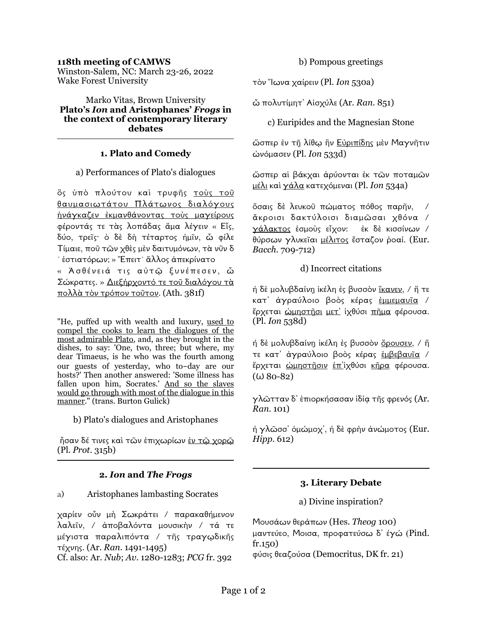#### **118th meeting of CAMWS**

Winston-Salem, NC: March 23-26, 2022 Wake Forest University

Marko Vitas, Brown University **Plato's** *Ion* **and Aristophanes'** *Frogs* **in the context of contemporary literary debates**

#### **1. Plato and Comedy**

#### a) Performances of Plato's dialogues

ὃς ὑπὸ πλούτου καὶ τρυφῆς τοὺς τοῦ θαυµασιωτάτου Πλάτωνος διαλόγους ἠνάγκαζεν ἐκµανθάνοντας τοὺς µαγείρους φέροντάς τε τὰς λοπάδας ἅµα λέγειν « Εἷς, δύο, τρεῖς· ὁ δὲ δὴ τέταρτος ἡµῖν, ὦ φίλε Τίµαιε, ποῦ τῶν χθὲς µὲν δαιτυµόνων, τὰ νῦν δ ´ ἑστιατόρων; » Ἔπειτ´ ἄλλος ἀπεκρίνατο

« Ἀσθένειά τις αὐτῷ ξυνέπεσεν, ὦ Σώκρατες. » Διεξήρχοντό τε τοῦ διαλόγου τὰ πολλὰ τὸν τρόπον τοῦτον. (Ath. 381f)

"He, puffed up with wealth and luxury, used to compel the cooks to learn the dialogues of the most admirable Plato, and, as they brought in the dishes, to say: 'One, two, three; but where, my dear Timaeus, is he who was the fourth among our guests of yesterday, who to-day are our hosts?' Then another answered: 'Some illness has fallen upon him, Socrates.' And so the slaves would go through with most of the dialogue in this manner." (trans. Burton Gulick)

b) Plato's dialogues and Aristophanes

 ἦσαν δέ τινες καὶ τῶν ἐπιχωρίων ἐν τῷ χορῷ (Pl. *Prot*. 315b)

## **2.** *Ion* **and** *The Frogs*

a) Aristophanes lambasting Socrates

χαρίεν οὖν µὴ Σωκράτει / παρακαθήµενον λαλεῖν, / ἀποβαλόντα µουσικὴν / τά τε µέγιστα παραλιπόντα / τῆς τραγῳδικῆς τέχνης. (Ar. *Ran.* 1491-1495)

Cf. also: Ar. *Nub*; *Av.* 1280-1283; *PCG* fr. 392

b) Pompous greetings

τὸν Ἴωνα χαίρειν (Pl. *Ion* 530a)

ὦ πολυτίµητ᾽ Αἰσχύλε (Ar. *Ran.* 851)

c) Euripides and the Magnesian Stone

ώσπερ ἐν τῆ λίθῳ ἣν <u>Εὐριπίδης</u> μὲν Μαγνῆτιν ὠνόµασεν (Pl. *Ion* 533d)

ὥσπερ αἱ βάκχαι ἀρύονται ἐκ τῶν ποταµῶν µέλι καὶ γάλα κατεχόµεναι (Pl. *Ion* 534a)

ὅσαις δὲ λευκοῦ πώµατος πόθος παρῆν, / ἄκροισι δακτύλοισι διαµῶσαι χθόνα / γάλακτος ἑσµοὺς εἶχον: ἐκ δὲ κισσίνων / θύρσων γλυκεΐαι μέλιτος έσταζον ροαί. (Eur. *Bacch.* 709-712)

d) Incorrect citations

ἡ δὲ µολυβδαίνῃ ἰκέλη ἐς βυσσὸν ἵκανεν, / ἥ τε κατ᾽ ἀγραύλοιο βοὸς κέρας ἐµµεµαυῖα / έρχεται <u>ώμηστῆσι μετ</u>' ίχθύσι πῆμα φέρουσα. (Pl. *Ion* 538d)

ή δε μολυβδαίνη ικέλη ές βυσσον όρουσεν, / ή τε κατ᾽ ἀγραύλοιο βοὸς κέρας ἐµβεβαυῖα / ἔρχεται <u>ώμηστῆσιν</u> ἐπ<sup>'</sup>ίχθύσι κῆρα φέρουσα.  $(ω 80-82)$ 

γλῶτταν δ᾽ ἐπιορκήσασαν ἰδίᾳ τῆς φρενός (Ar. *Ran.* 101)

ἡ γλῶσσ᾽ ὀµώµοχ᾽, ἡ δὲ φρὴν ἀνώµοτος (Eur. *Hipp*. 612)

## **3. Literary Debate**

a) Divine inspiration?

Μουσάων θεράπων (Hes. *Theog* 100) µαντεύεο, Μοισα, προφατεύσω δ᾽ έγώ (Pind. fr.150) φύσις θεαζούσα (Democritus, DK fr. 21)